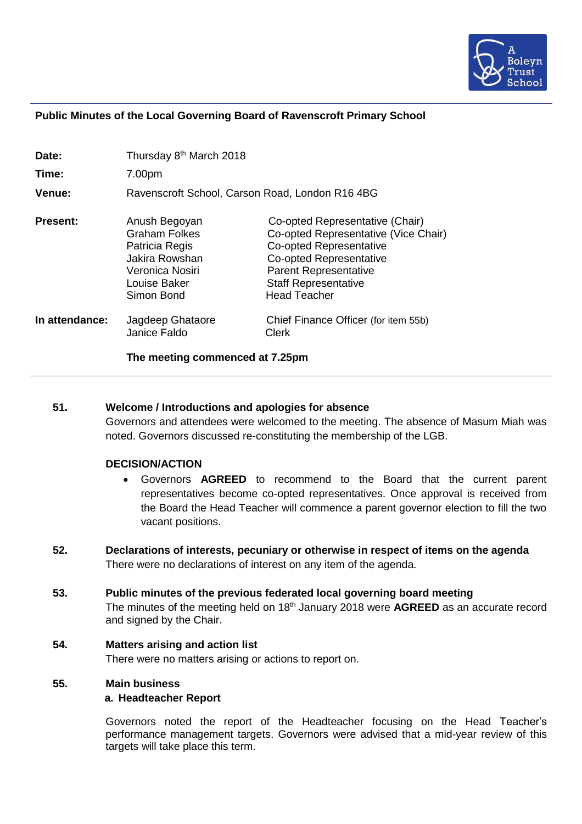

#### **Public Minutes of the Local Governing Board of Ravenscroft Primary School**

| Date:           | Thursday 8 <sup>th</sup> March 2018                                                                                        |                                                                                                                                                                                                                            |
|-----------------|----------------------------------------------------------------------------------------------------------------------------|----------------------------------------------------------------------------------------------------------------------------------------------------------------------------------------------------------------------------|
| Time:           | 7.00pm                                                                                                                     |                                                                                                                                                                                                                            |
| Venue:          | Ravenscroft School, Carson Road, London R16 4BG                                                                            |                                                                                                                                                                                                                            |
| <b>Present:</b> | Anush Begoyan<br><b>Graham Folkes</b><br>Patricia Regis<br>Jakira Rowshan<br>Veronica Nosiri<br>Louise Baker<br>Simon Bond | Co-opted Representative (Chair)<br>Co-opted Representative (Vice Chair)<br><b>Co-opted Representative</b><br>Co-opted Representative<br><b>Parent Representative</b><br><b>Staff Representative</b><br><b>Head Teacher</b> |
| In attendance:  | Jagdeep Ghataore<br>Janice Faldo                                                                                           | Chief Finance Officer (for item 55b)<br>Clerk                                                                                                                                                                              |

**The meeting commenced at 7.25pm**

## **51. Welcome / Introductions and apologies for absence**

Governors and attendees were welcomed to the meeting. The absence of Masum Miah was noted. Governors discussed re-constituting the membership of the LGB.

#### **DECISION/ACTION**

- Governors **AGREED** to recommend to the Board that the current parent representatives become co-opted representatives. Once approval is received from the Board the Head Teacher will commence a parent governor election to fill the two vacant positions.
- **52. Declarations of interests, pecuniary or otherwise in respect of items on the agenda** There were no declarations of interest on any item of the agenda.
- **53. Public minutes of the previous federated local governing board meeting** The minutes of the meeting held on 18<sup>th</sup> January 2018 were **AGREED** as an accurate record and signed by the Chair.

#### **54. Matters arising and action list**

There were no matters arising or actions to report on.

#### **55. Main business**

#### **a. Headteacher Report**

Governors noted the report of the Headteacher focusing on the Head Teacher's performance management targets. Governors were advised that a mid-year review of this targets will take place this term.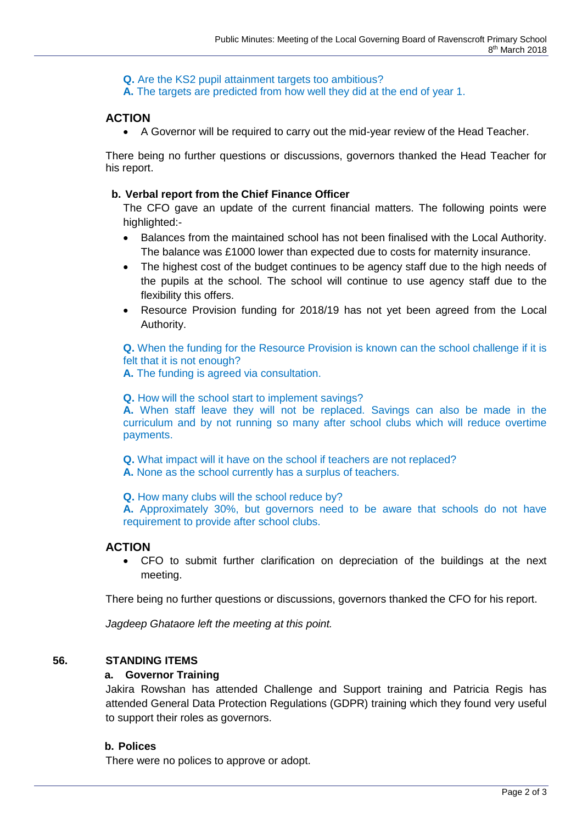**Q.** Are the KS2 pupil attainment targets too ambitious?

**A.** The targets are predicted from how well they did at the end of year 1.

# **ACTION**

• A Governor will be required to carry out the mid-year review of the Head Teacher.

There being no further questions or discussions, governors thanked the Head Teacher for his report.

## **b. Verbal report from the Chief Finance Officer**

The CFO gave an update of the current financial matters. The following points were highlighted:-

- Balances from the maintained school has not been finalised with the Local Authority. The balance was £1000 lower than expected due to costs for maternity insurance.
- The highest cost of the budget continues to be agency staff due to the high needs of the pupils at the school. The school will continue to use agency staff due to the flexibility this offers.
- Resource Provision funding for 2018/19 has not yet been agreed from the Local Authority.

**Q.** When the funding for the Resource Provision is known can the school challenge if it is felt that it is not enough?

**A.** The funding is agreed via consultation.

**Q.** How will the school start to implement savings?

**A.** When staff leave they will not be replaced. Savings can also be made in the curriculum and by not running so many after school clubs which will reduce overtime payments.

**Q.** What impact will it have on the school if teachers are not replaced?

**A.** None as the school currently has a surplus of teachers.

**Q.** How many clubs will the school reduce by?

**A.** Approximately 30%, but governors need to be aware that schools do not have requirement to provide after school clubs.

# **ACTION**

• CFO to submit further clarification on depreciation of the buildings at the next meeting.

There being no further questions or discussions, governors thanked the CFO for his report.

*Jagdeep Ghataore left the meeting at this point.*

# **56. STANDING ITEMS**

## **a. Governor Training**

Jakira Rowshan has attended Challenge and Support training and Patricia Regis has attended General Data Protection Regulations (GDPR) training which they found very useful to support their roles as governors.

# **b. Polices**

There were no polices to approve or adopt.